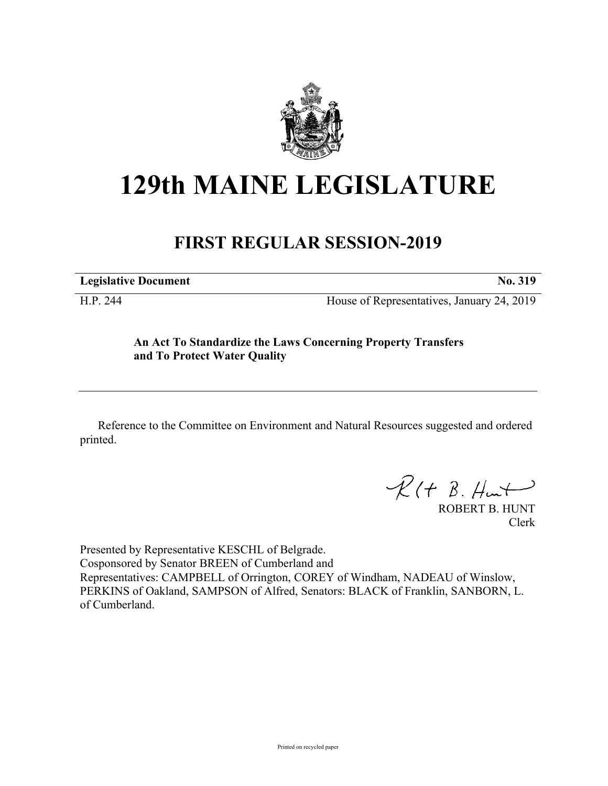

## **129th MAINE LEGISLATURE**

## **FIRST REGULAR SESSION-2019**

| <b>Legislative Document</b> | No. 319 |
|-----------------------------|---------|
|                             |         |

H.P. 244 House of Representatives, January 24, 2019

## **An Act To Standardize the Laws Concerning Property Transfers and To Protect Water Quality**

Reference to the Committee on Environment and Natural Resources suggested and ordered printed.

 $R(H B. H<sub>un</sub>+)$ 

ROBERT B. HUNT Clerk

Presented by Representative KESCHL of Belgrade. Cosponsored by Senator BREEN of Cumberland and Representatives: CAMPBELL of Orrington, COREY of Windham, NADEAU of Winslow, PERKINS of Oakland, SAMPSON of Alfred, Senators: BLACK of Franklin, SANBORN, L. of Cumberland.